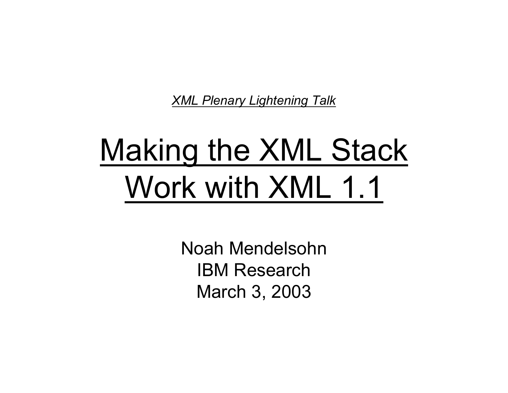*XML Plenary Lightening Talk*

# Making the XML Stack Work with XML 1.1

Noah MendelsohnIBM ResearchMarch 3, 2003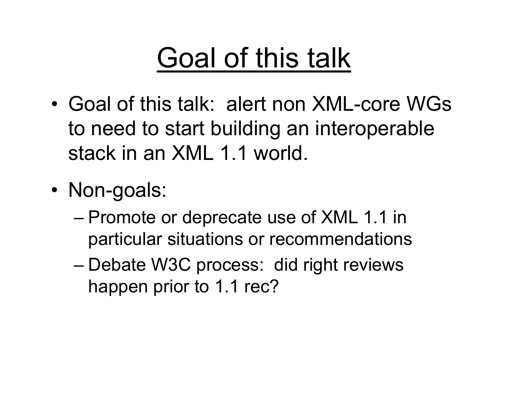## Goal of this talk

- •Goal of this talk: alert non XML-core WGsto need to start building an interoperable stack in an XML 1.1 world.
- • Non-goals:
	- Promote or deprecate use of XML 1.1 in particular situations or recommendations
	- Debate W3C process: did right reviews happen prior to 1.1 rec?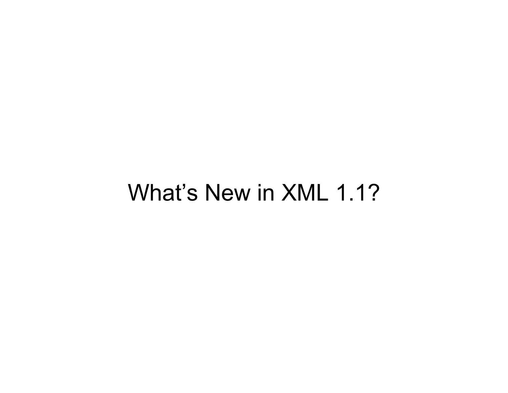### What's New in XML 1.1?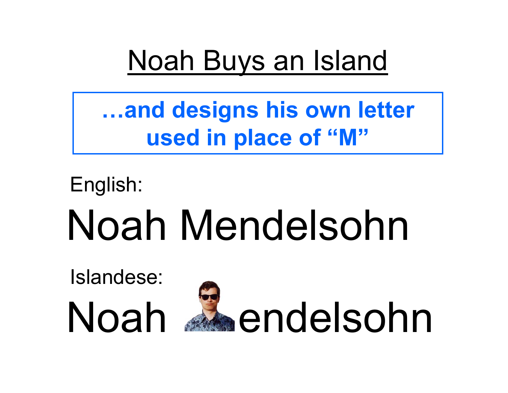### Noah Buys an Island

**…and designs his own letter used in place of "M"**

Noah Mendelsohn English:

Islandese:

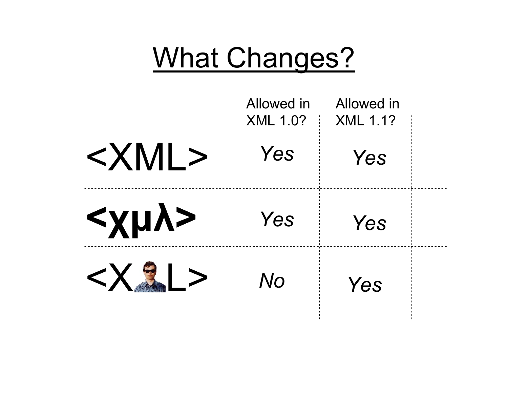### What Changes?

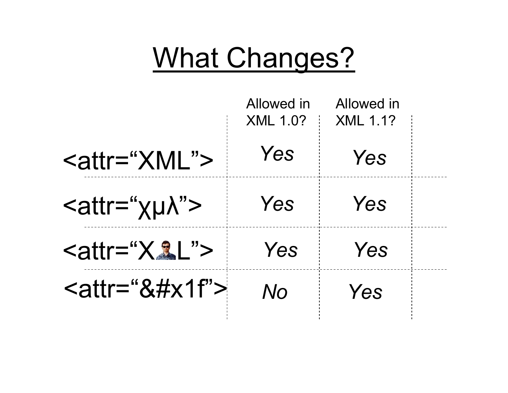### What Changes?

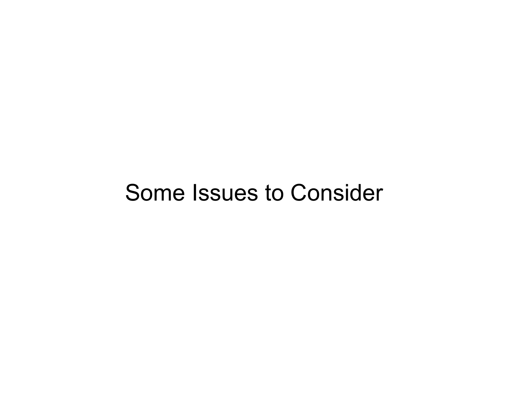#### Some Issues to Consider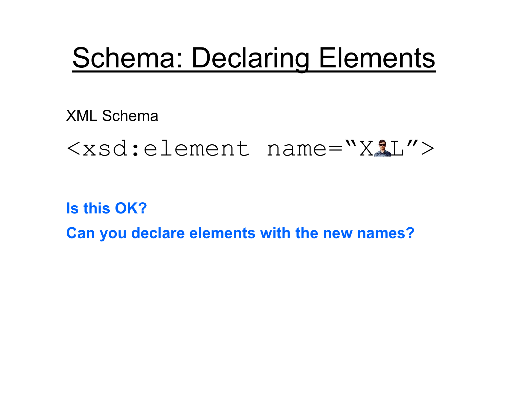### Schema: Declaring Elements

XML Schema

#### $<$ xsd:element name="X1L">

**Is this OK?Can you declare elements with the new names?**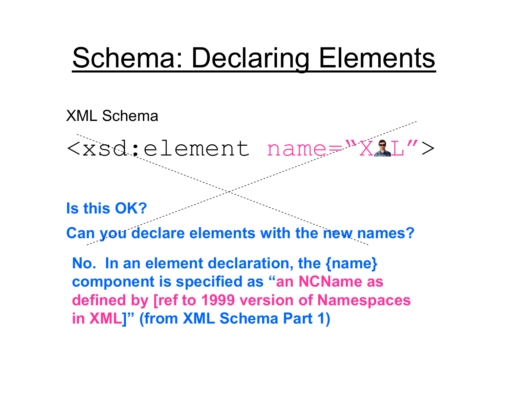### Schema: Declaring Elements

#### XML Schema

<xsd:element name="X&L">

**Is this OK?**

**Can you declare elements with the new names?**

**No. In an element declaration, the {name} component is specified as "an NCName as defined by [ref to 1999 version of Namespaces in XML]" (from XML Schema Part 1)**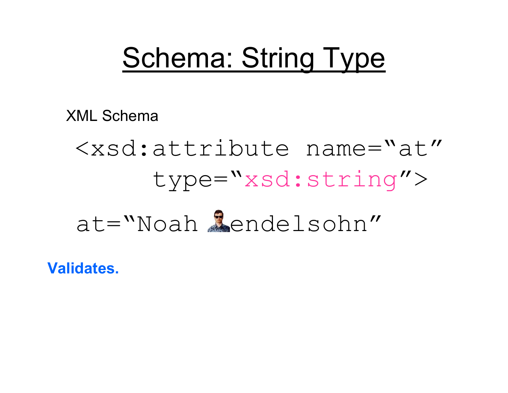### Schema: String Type

XML Schema

# <xsd:attribute name="at" type="xsd:string">

### at="Noah Mendelsohn"

**Validates.**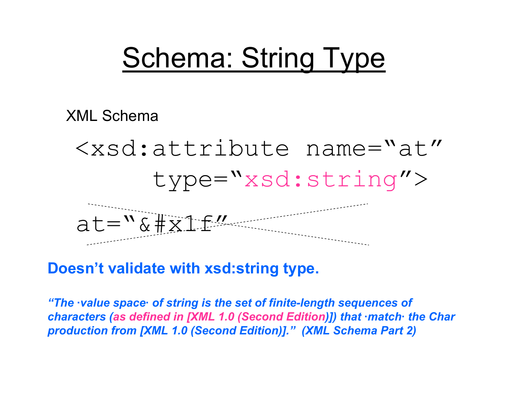### Schema: String Type

XML Schema

<xsd:attribute name="at" type="xsd:string">  $at="8#x1f"$ 

**Doesn't validate with xsd:string type.**

*"The ·value space· of string is the set of finite-length sequences of characters (as defined in [XML 1.0 (Second Edition)]) that ·match· the Char production from [XML 1.0 (Second Edition)]." (XML Schema Part 2)*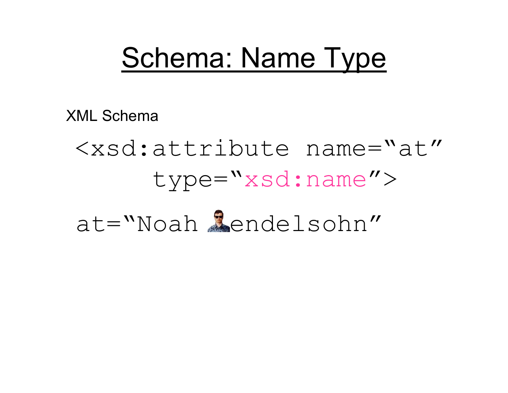### Schema: Name Type

XML Schema

## <xsd:attribute name="at" type="xsd:name"> at="Noah Mendelsohn"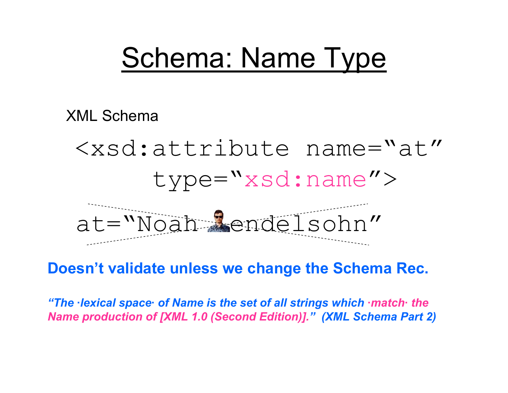### Schema: Name Type

XML Schema

<xsd:attribute name="at" type="xsd:name"> at="Noah Mendelsohn"

**Doesn't validate unless we change the Schema Rec.** 

*"The ·lexical space· of Name is the set of all strings which ·match· the Name production of [XML 1.0 (Second Edition)]. "(XML Schema Part 2)*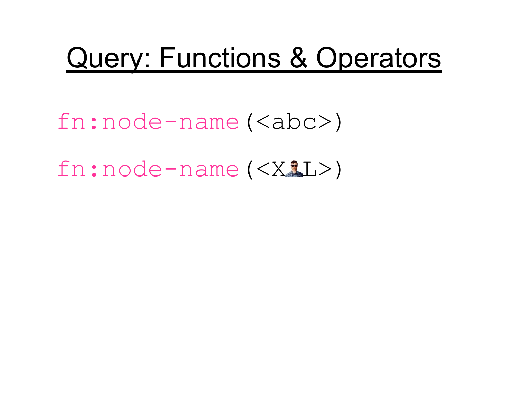### Query: Functions & Operators

fn:node-name(<abc>)

 $fn:node-name()$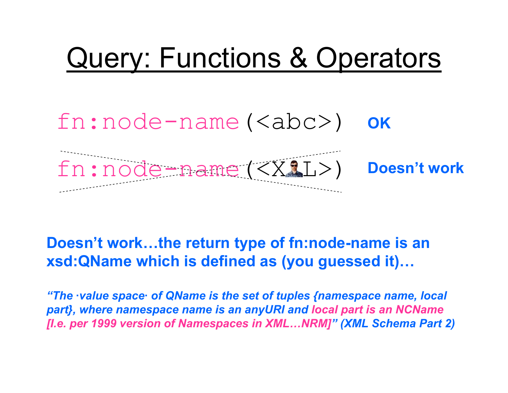## Query: Functions & Operators

### fn:node-name(<abc>) **OK**



#### **Doesn't work…the return type of fn:node-name is an xsd:QName which is defined as (you guessed it)…**

*"The ·value space· of QName is the set of tuples {namespace name, local part}, where namespace name is an anyURI and local part is an NCName [I.e. per 1999 version of Namespaces in XML…NRM] "(XML Schema Part 2)*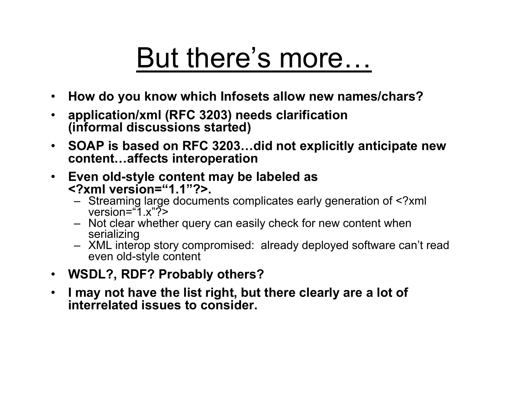## But there's more…

- •**How do you know which Infosets allow new names/chars?**
- • **application/xml (RFC 3203) needs clarification (informal discussions started)**
- • **SOAP is based on RFC 3203…did not explicitly anticipate new content…affects interoperation**
- $\bullet$  **Even old-style content may be labeled as <?xml version="1.1"?>.**
	- Streaming large documents complicates early generation of <?xml version="1.x"?>
	- Not clear whether query can easily check for new content when serializing
	- XML interop story compromised: already deployed software can't read even old-style content
- •**WSDL?, RDF? Probably others?**
- • **I may not have the list right, but there clearly are a lot of interrelated issues to consider.**